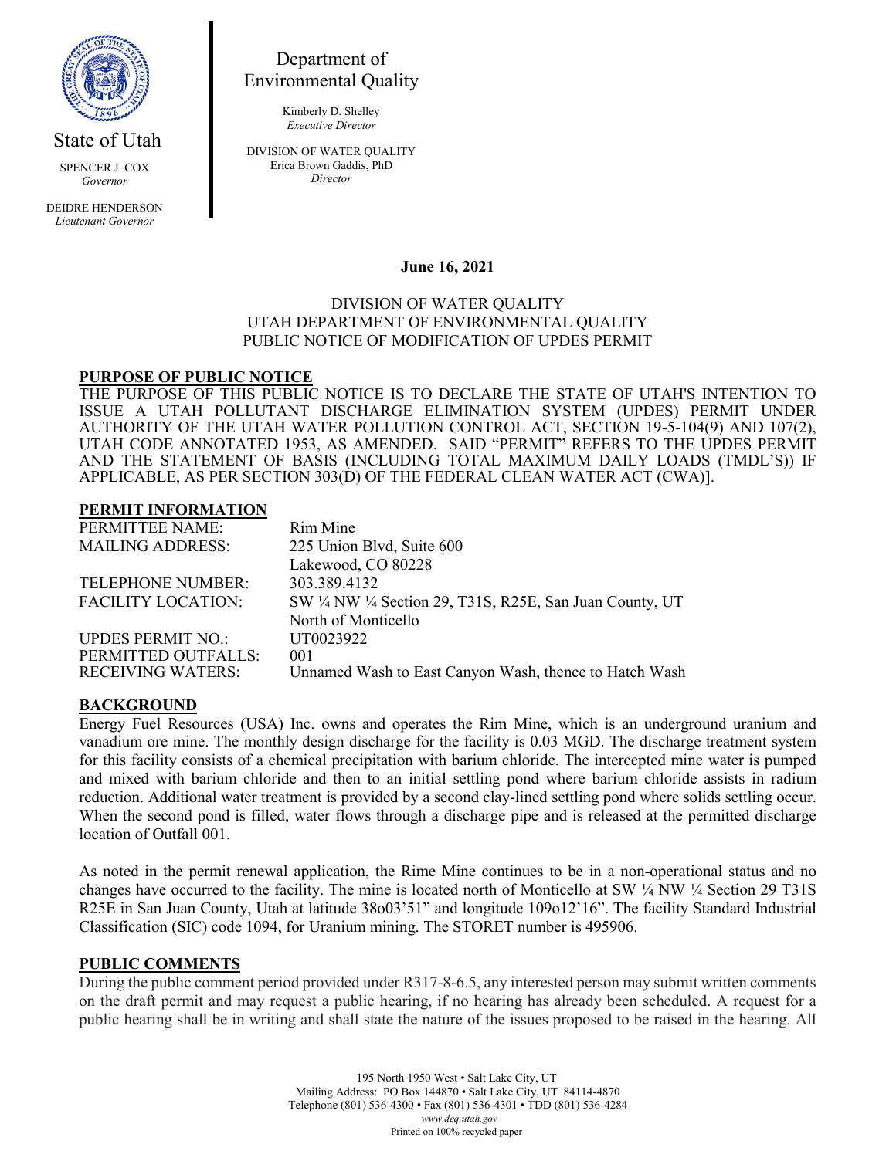

*Governor*

DEIDRE HENDERSON *Lieutenant Governor*

# Department of Environmental Quality

Kimberly D. Shelley *Executive Director*

DIVISION OF WATER QUALITY Erica Brown Gaddis, PhD *Director*

# **June 16, 2021**

## DIVISION OF WATER QUALITY UTAH DEPARTMENT OF ENVIRONMENTAL QUALITY PUBLIC NOTICE OF MODIFICATION OF UPDES PERMIT

# **PURPOSE OF PUBLIC NOTICE**

THE PURPOSE OF THIS PUBLIC NOTICE IS TO DECLARE THE STATE OF UTAH'S INTENTION TO ISSUE A UTAH POLLUTANT DISCHARGE ELIMINATION SYSTEM (UPDES) PERMIT UNDER AUTHORITY OF THE UTAH WATER POLLUTION CONTROL ACT, SECTION 19-5-104(9) AND 107(2), UTAH CODE ANNOTATED 1953, AS AMENDED. SAID "PERMIT" REFERS TO THE UPDES PERMIT AND THE STATEMENT OF BASIS (INCLUDING TOTAL MAXIMUM DAILY LOADS (TMDL'S)) IF APPLICABLE, AS PER SECTION 303(D) OF THE FEDERAL CLEAN WATER ACT (CWA)].

#### **PERMIT INFORMATION**

| PERMITTEE NAME:           | Rim Mine                                                  |
|---------------------------|-----------------------------------------------------------|
| <b>MAILING ADDRESS:</b>   | 225 Union Blvd, Suite 600                                 |
|                           | Lakewood, CO 80228                                        |
| TELEPHONE NUMBER:         | 303.389.4132                                              |
| <b>FACILITY LOCATION:</b> | SW 1/4 NW 1/4 Section 29, T31S, R25E, San Juan County, UT |
|                           | North of Monticello                                       |
| <b>UPDES PERMIT NO.:</b>  | UT0023922                                                 |
| PERMITTED OUTFALLS:       | 001                                                       |
| <b>RECEIVING WATERS:</b>  | Unnamed Wash to East Canyon Wash, thence to Hatch Wash    |
|                           |                                                           |

## **BACKGROUND**

Energy Fuel Resources (USA) Inc. owns and operates the Rim Mine, which is an underground uranium and vanadium ore mine. The monthly design discharge for the facility is 0.03 MGD. The discharge treatment system for this facility consists of a chemical precipitation with barium chloride. The intercepted mine water is pumped and mixed with barium chloride and then to an initial settling pond where barium chloride assists in radium reduction. Additional water treatment is provided by a second clay-lined settling pond where solids settling occur. When the second pond is filled, water flows through a discharge pipe and is released at the permitted discharge location of Outfall 001.

As noted in the permit renewal application, the Rime Mine continues to be in a non-operational status and no changes have occurred to the facility. The mine is located north of Monticello at SW  $\frac{1}{4}$  NW  $\frac{1}{4}$  Section 29 T31S R25E in San Juan County, Utah at latitude 38o03'51" and longitude 109o12'16". The facility Standard Industrial Classification (SIC) code 1094, for Uranium mining. The STORET number is 495906.

## **PUBLIC COMMENTS**

During the public comment period provided under R317-8-6.5, any interested person may submit written comments on the draft permit and may request a public hearing, if no hearing has already been scheduled. A request for a public hearing shall be in writing and shall state the nature of the issues proposed to be raised in the hearing. All

> 195 North 1950 West • Salt Lake City, UT Mailing Address: PO Box 144870 • Salt Lake City, UT 84114-4870 Telephone (801) 536-4300 • Fax (801) 536-4301 • TDD (801) 536-4284 *www.deq.utah.gov* Printed on 100% recycled paper